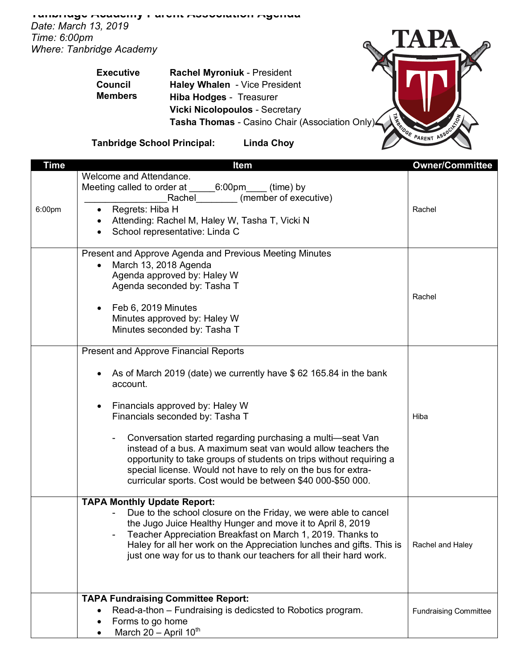**Tanbridge Academy Parent Association Agenda** *Date: March 13, 2019 Time: 6:00pm Where: Tanbridge Academy*

> **Executive Council Members**



**Tanbridge School Principal: Linda Choy**

**Rachel Myroniuk** - President **Haley Whalen** - Vice President

**Hiba Hodges** - Treasurer **Vicki Nicolopoulos** - Secretary

| <b>Time</b> | <b>Item</b>                                                                                                                                                                                                                                                                                                                                                                                                                                                                                                                                    | <b>Owner/Committee</b>       |
|-------------|------------------------------------------------------------------------------------------------------------------------------------------------------------------------------------------------------------------------------------------------------------------------------------------------------------------------------------------------------------------------------------------------------------------------------------------------------------------------------------------------------------------------------------------------|------------------------------|
| 6:00pm      | Welcome and Attendance.<br>Meeting called to order at<br>6:00pm<br>(time) by<br>(member of executive)<br>Rachel<br>Regrets: Hiba H<br>Attending: Rachel M, Haley W, Tasha T, Vicki N<br>School representative: Linda C                                                                                                                                                                                                                                                                                                                         | Rachel                       |
|             | Present and Approve Agenda and Previous Meeting Minutes<br>March 13, 2018 Agenda<br>Agenda approved by: Haley W<br>Agenda seconded by: Tasha T<br>Feb 6, 2019 Minutes<br>Minutes approved by: Haley W<br>Minutes seconded by: Tasha T                                                                                                                                                                                                                                                                                                          | Rachel                       |
|             | <b>Present and Approve Financial Reports</b><br>As of March 2019 (date) we currently have \$62 165.84 in the bank<br>account.<br>Financials approved by: Haley W<br>٠<br>Financials seconded by: Tasha T<br>Conversation started regarding purchasing a multi-seat Van<br>instead of a bus. A maximum seat van would allow teachers the<br>opportunity to take groups of students on trips without requiring a<br>special license. Would not have to rely on the bus for extra-<br>curricular sports. Cost would be between \$40 000-\$50 000. | Hiba                         |
|             | <b>TAPA Monthly Update Report:</b><br>Due to the school closure on the Friday, we were able to cancel<br>the Jugo Juice Healthy Hunger and move it to April 8, 2019<br>Teacher Appreciation Breakfast on March 1, 2019. Thanks to<br>Haley for all her work on the Appreciation lunches and gifts. This is<br>just one way for us to thank our teachers for all their hard work.                                                                                                                                                               | Rachel and Haley             |
|             | <b>TAPA Fundraising Committee Report:</b><br>Read-a-thon – Fundraising is dedicsted to Robotics program.<br>Forms to go home<br>٠<br>March $20 -$ April $10^{th}$<br>$\bullet$                                                                                                                                                                                                                                                                                                                                                                 | <b>Fundraising Committee</b> |